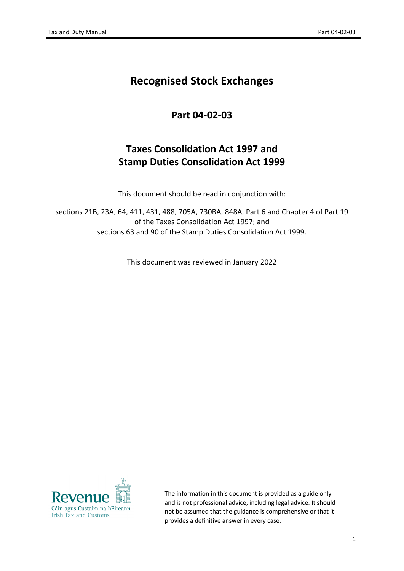# **Recognised Stock Exchanges**

# **Part 04-02-03**

# **Taxes Consolidation Act 1997 and Stamp Duties Consolidation Act 1999**

This document should be read in conjunction with:

sections 21B, 23A, 64, 411, 431, 488, 705A, 730BA, 848A, Part 6 and Chapter 4 of Part 19 of the Taxes Consolidation Act 1997; and sections 63 and 90 of the Stamp Duties Consolidation Act 1999.

This document was reviewed in January 2022



The information in this document is provided as a guide only and is not professional advice, including legal advice. It should not be assumed that the guidance is comprehensive or that it provides a definitive answer in every case.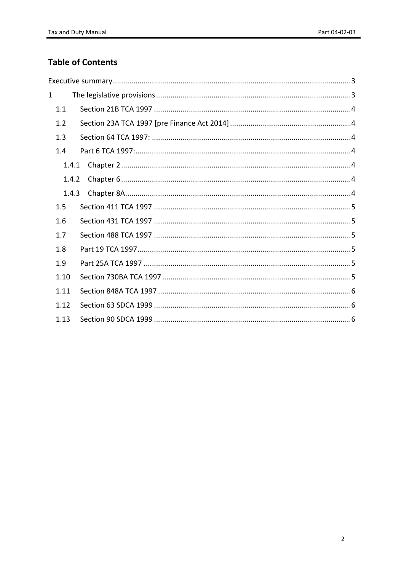## **Table of Contents**

| $\mathbf{1}$   |       |  |  |  |
|----------------|-------|--|--|--|
|                | 1.1   |  |  |  |
|                | 1.2   |  |  |  |
|                | 1.3   |  |  |  |
|                | 1.4   |  |  |  |
|                | 1.4.1 |  |  |  |
| 1.4.2<br>1.4.3 |       |  |  |  |
|                |       |  |  |  |
|                | 1.5   |  |  |  |
|                | 1.6   |  |  |  |
|                | 1.7   |  |  |  |
|                | 1.8   |  |  |  |
|                | 1.9   |  |  |  |
|                | 1.10  |  |  |  |
|                | 1.11  |  |  |  |
|                | 1.12  |  |  |  |
|                | 1.13  |  |  |  |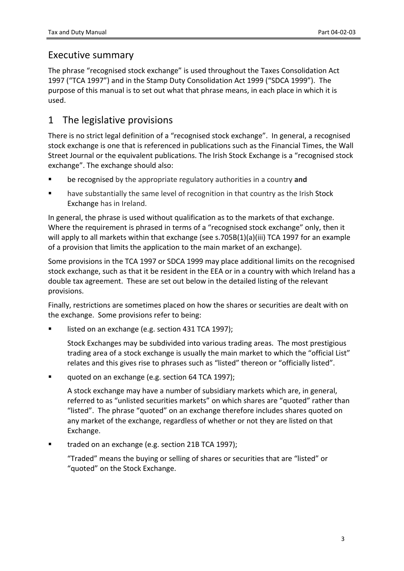## <span id="page-2-0"></span>Executive summary

The phrase "recognised stock exchange" is used throughout the Taxes Consolidation Act 1997 ("TCA 1997") and in the Stamp Duty Consolidation Act 1999 ("SDCA 1999"). The purpose of this manual is to set out what that phrase means, in each place in which it is used.

# <span id="page-2-1"></span>1 The legislative provisions

There is no strict legal definition of a "recognised stock exchange". In general, a recognised stock exchange is one that is referenced in publications such as the Financial Times, the Wall Street Journal or the equivalent publications. The Irish Stock Exchange is a "recognised stock exchange". The exchange should also:

- be recognised by the appropriate regulatory authorities in a country **and**
- have substantially the same level of recognition in that country as the Irish Stock Exchange has in Ireland.

In general, the phrase is used without qualification as to the markets of that exchange. Where the requirement is phrased in terms of a "recognised stock exchange" only, then it will apply to all markets within that exchange (see s.705B(1)(a)(iii) TCA 1997 for an example of a provision that limits the application to the main market of an exchange).

Some provisions in the TCA 1997 or SDCA 1999 may place additional limits on the recognised stock exchange, such as that it be resident in the EEA or in a country with which Ireland has a double tax agreement. These are set out below in the detailed listing of the relevant provisions.

Finally, restrictions are sometimes placed on how the shares or securities are dealt with on the exchange. Some provisions refer to being:

listed on an exchange (e.g. section 431 TCA 1997);

Stock Exchanges may be subdivided into various trading areas. The most prestigious trading area of a stock exchange is usually the main market to which the "official List" relates and this gives rise to phrases such as "listed" thereon or "officially listed".

quoted on an exchange (e.g. section 64 TCA 1997);

A stock exchange may have a number of subsidiary markets which are, in general, referred to as "unlisted securities markets" on which shares are "quoted" rather than "listed". The phrase "quoted" on an exchange therefore includes shares quoted on any market of the exchange, regardless of whether or not they are listed on that Exchange.

traded on an exchange (e.g. section 21B TCA 1997);

"Traded" means the buying or selling of shares or securities that are "listed" or "quoted" on the Stock Exchange.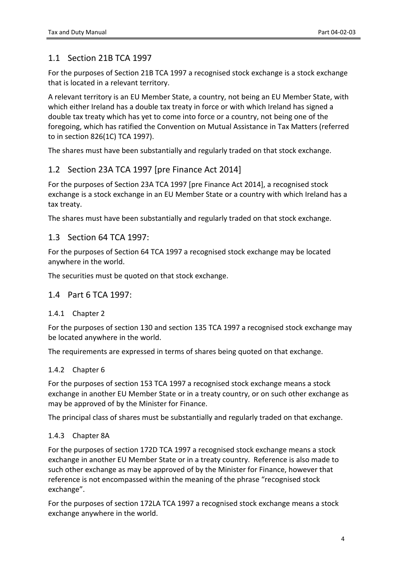## <span id="page-3-0"></span>1.1 Section 21B TCA 1997

For the purposes of Section 21B TCA 1997 a recognised stock exchange is a stock exchange that is located in a relevant territory.

A relevant territory is an EU Member State, a country, not being an EU Member State, with which either Ireland has a double tax treaty in force or with which Ireland has signed a double tax treaty which has yet to come into force or a country, not being one of the foregoing, which has ratified the Convention on Mutual Assistance in Tax Matters (referred to in section 826(1C) TCA 1997).

The shares must have been substantially and regularly traded on that stock exchange.

## <span id="page-3-1"></span>1.2 Section 23A TCA 1997 [pre Finance Act 2014]

For the purposes of Section 23A TCA 1997 [pre Finance Act 2014], a recognised stock exchange is a stock exchange in an EU Member State or a country with which Ireland has a tax treaty.

The shares must have been substantially and regularly traded on that stock exchange.

#### <span id="page-3-2"></span>1.3 Section 64 TCA 1997:

For the purposes of Section 64 TCA 1997 a recognised stock exchange may be located anywhere in the world.

The securities must be quoted on that stock exchange.

#### <span id="page-3-3"></span>1.4 Part 6 TCA 1997:

#### <span id="page-3-4"></span>1.4.1 Chapter 2

For the purposes of section 130 and section 135 TCA 1997 a recognised stock exchange may be located anywhere in the world.

The requirements are expressed in terms of shares being quoted on that exchange.

#### <span id="page-3-5"></span>1.4.2 Chapter 6

For the purposes of section 153 TCA 1997 a recognised stock exchange means a stock exchange in another EU Member State or in a treaty country, or on such other exchange as may be approved of by the Minister for Finance.

The principal class of shares must be substantially and regularly traded on that exchange.

#### <span id="page-3-6"></span>1.4.3 Chapter 8A

For the purposes of section 172D TCA 1997 a recognised stock exchange means a stock exchange in another EU Member State or in a treaty country. Reference is also made to such other exchange as may be approved of by the Minister for Finance, however that reference is not encompassed within the meaning of the phrase "recognised stock exchange".

For the purposes of section 172LA TCA 1997 a recognised stock exchange means a stock exchange anywhere in the world.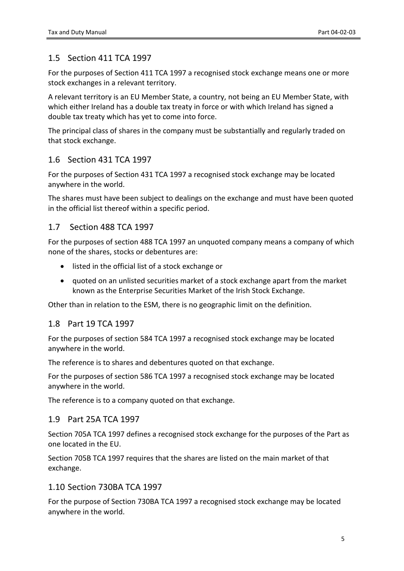## <span id="page-4-0"></span>1.5 Section 411 TCA 1997

For the purposes of Section 411 TCA 1997 a recognised stock exchange means one or more stock exchanges in a relevant territory.

A relevant territory is an EU Member State, a country, not being an EU Member State, with which either Ireland has a double tax treaty in force or with which Ireland has signed a double tax treaty which has yet to come into force.

The principal class of shares in the company must be substantially and regularly traded on that stock exchange.

## <span id="page-4-1"></span>1.6 Section 431 TCA 1997

For the purposes of Section 431 TCA 1997 a recognised stock exchange may be located anywhere in the world.

The shares must have been subject to dealings on the exchange and must have been quoted in the official list thereof within a specific period.

## <span id="page-4-2"></span>1.7 Section 488 TCA 1997

For the purposes of section 488 TCA 1997 an unquoted company means a company of which none of the shares, stocks or debentures are:

- listed in the official list of a stock exchange or
- auoted on an unlisted securities market of a stock exchange apart from the market known as the Enterprise Securities Market of the Irish Stock Exchange.

Other than in relation to the ESM, there is no geographic limit on the definition.

## <span id="page-4-3"></span>1.8 Part 19 TCA 1997

For the purposes of section 584 TCA 1997 a recognised stock exchange may be located anywhere in the world.

The reference is to shares and debentures quoted on that exchange.

For the purposes of section 586 TCA 1997 a recognised stock exchange may be located anywhere in the world.

The reference is to a company quoted on that exchange.

## <span id="page-4-4"></span>1.9 Part 25A TCA 1997

Section 705A TCA 1997 defines a recognised stock exchange for the purposes of the Part as one located in the EU.

Section 705B TCA 1997 requires that the shares are listed on the main market of that exchange.

## <span id="page-4-5"></span>1.10 Section 730BA TCA 1997

For the purpose of Section 730BA TCA 1997 a recognised stock exchange may be located anywhere in the world.